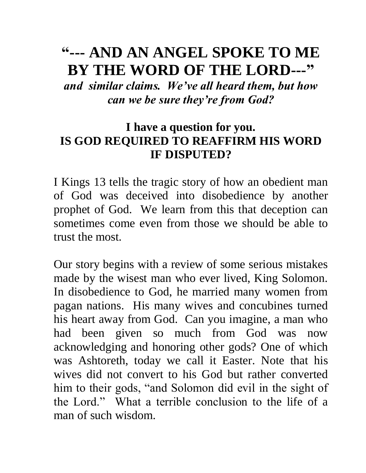# **"--- AND AN ANGEL SPOKE TO ME BY THE WORD OF THE LORD---"**

*and similar claims. We've all heard them, but how can we be sure they're from God?* 

# **I have a question for you. IS GOD REQUIRED TO REAFFIRM HIS WORD IF DISPUTED?**

I Kings 13 tells the tragic story of how an obedient man of God was deceived into disobedience by another prophet of God. We learn from this that deception can sometimes come even from those we should be able to trust the most.

Our story begins with a review of some serious mistakes made by the wisest man who ever lived, King Solomon. In disobedience to God, he married many women from pagan nations. His many wives and concubines turned his heart away from God. Can you imagine, a man who had been given so much from God was now acknowledging and honoring other gods? One of which was Ashtoreth, today we call it Easter. Note that his wives did not convert to his God but rather converted him to their gods, "and Solomon did evil in the sight of the Lord." What a terrible conclusion to the life of a man of such wisdom.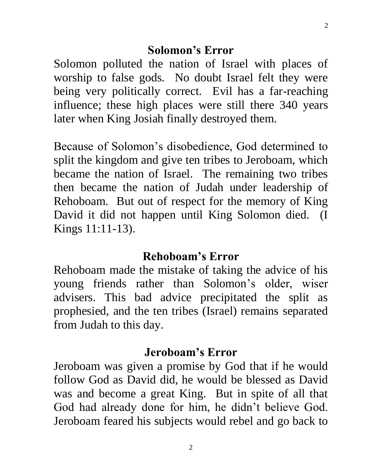Solomon polluted the nation of Israel with places of worship to false gods. No doubt Israel felt they were being very politically correct. Evil has a far-reaching influence; these high places were still there 340 years later when King Josiah finally destroyed them.

Because of Solomon's disobedience, God determined to split the kingdom and give ten tribes to Jeroboam, which became the nation of Israel. The remaining two tribes then became the nation of Judah under leadership of Rehoboam. But out of respect for the memory of King David it did not happen until King Solomon died. (I Kings 11:11-13).

### **Rehoboam's Error**

Rehoboam made the mistake of taking the advice of his young friends rather than Solomon's older, wiser advisers. This bad advice precipitated the split as prophesied, and the ten tribes (Israel) remains separated from Judah to this day.

### **Jeroboam's Error**

Jeroboam was given a promise by God that if he would follow God as David did, he would be blessed as David was and become a great King. But in spite of all that God had already done for him, he didn't believe God. Jeroboam feared his subjects would rebel and go back to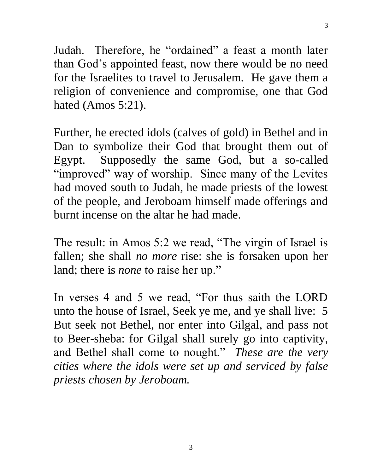Judah. Therefore, he "ordained" a feast a month later than God's appointed feast, now there would be no need for the Israelites to travel to Jerusalem. He gave them a religion of convenience and compromise, one that God hated (Amos 5:21).

3

Further, he erected idols (calves of gold) in Bethel and in Dan to symbolize their God that brought them out of Egypt. Supposedly the same God, but a so-called "improved" way of worship. Since many of the Levites had moved south to Judah, he made priests of the lowest of the people, and Jeroboam himself made offerings and burnt incense on the altar he had made.

The result: in Amos 5:2 we read, "The virgin of Israel is fallen; she shall *no more* rise: she is forsaken upon her land; there is *none* to raise her up."

In verses 4 and 5 we read, "For thus saith the LORD unto the house of Israel, Seek ye me, and ye shall live: 5 But seek not Bethel, nor enter into Gilgal, and pass not to Beer-sheba: for Gilgal shall surely go into captivity, and Bethel shall come to nought." *These are the very cities where the idols were set up and serviced by false priests chosen by Jeroboam.*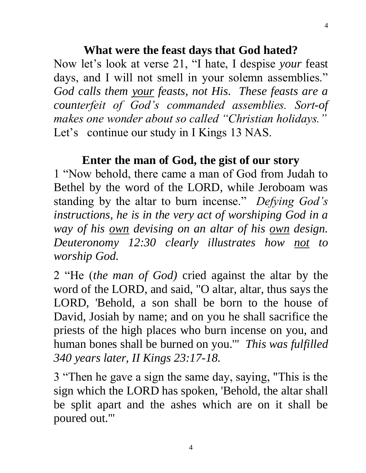#### **What were the feast days that God hated?**

Now let's look at verse 21, "I hate, I despise *your* feast days, and I will not smell in your solemn assemblies." *God calls them your feasts, not His. These feasts are a counterfeit of God's commanded assemblies. Sort-of makes one wonder about so called "Christian holidays."* Let's continue our study in I Kings 13 NAS.

#### **Enter the man of God, the gist of our story**

1 "Now behold, there came a man of God from Judah to Bethel by the word of the LORD, while Jeroboam was standing by the altar to burn incense." *Defying God's instructions, he is in the very act of worshiping God in a way of his own devising on an altar of his own design. Deuteronomy 12:30 clearly illustrates how not to worship God.* 

2 "He (*the man of God)* cried against the altar by the word of the LORD, and said, "O altar, altar, thus says the LORD, 'Behold, a son shall be born to the house of David, Josiah by name; and on you he shall sacrifice the priests of the high places who burn incense on you, and human bones shall be burned on you.'" *This was fulfilled 340 years later, II Kings 23:17-18.*

3 "Then he gave a sign the same day, saying, "This is the sign which the LORD has spoken, 'Behold, the altar shall be split apart and the ashes which are on it shall be poured out.'"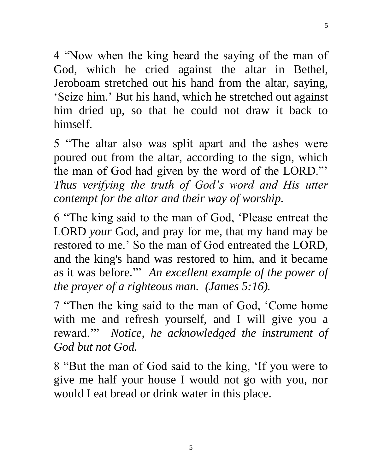4 "Now when the king heard the saying of the man of God, which he cried against the altar in Bethel, Jeroboam stretched out his hand from the altar, saying, 'Seize him.' But his hand, which he stretched out against him dried up, so that he could not draw it back to himself.

5 "The altar also was split apart and the ashes were poured out from the altar, according to the sign, which the man of God had given by the word of the LORD."' *Thus verifying the truth of God's word and His utter contempt for the altar and their way of worship.*

6 "The king said to the man of God, 'Please entreat the LORD *your* God, and pray for me, that my hand may be restored to me.' So the man of God entreated the LORD, and the king's hand was restored to him, and it became as it was before*.*"' *An excellent example of the power of the prayer of a righteous man. (James 5:16).*

7 "Then the king said to the man of God, 'Come home with me and refresh yourself, and I will give you a reward.'" *Notice, he acknowledged the instrument of God but not God.*

8 "But the man of God said to the king, 'If you were to give me half your house I would not go with you, nor would I eat bread or drink water in this place.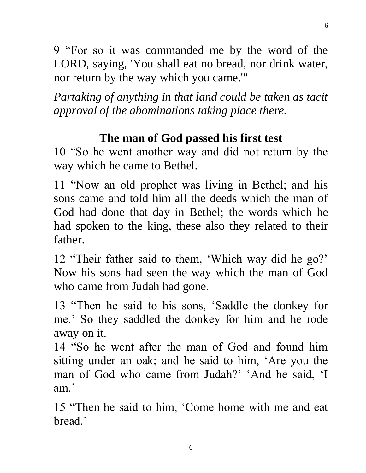9 "For so it was commanded me by the word of the LORD, saying, 'You shall eat no bread, nor drink water, nor return by the way which you came.'"

*Partaking of anything in that land could be taken as tacit approval of the abominations taking place there.* 

# **The man of God passed his first test**

10 "So he went another way and did not return by the way which he came to Bethel.

11 "Now an old prophet was living in Bethel; and his sons came and told him all the deeds which the man of God had done that day in Bethel; the words which he had spoken to the king, these also they related to their father.

12 "Their father said to them, 'Which way did he go?' Now his sons had seen the way which the man of God who came from Judah had gone.

13 "Then he said to his sons, 'Saddle the donkey for me.' So they saddled the donkey for him and he rode away on it.

14 "So he went after the man of God and found him sitting under an oak; and he said to him, 'Are you the man of God who came from Judah?' 'And he said, 'I am.'

15 "Then he said to him, 'Come home with me and eat bread.'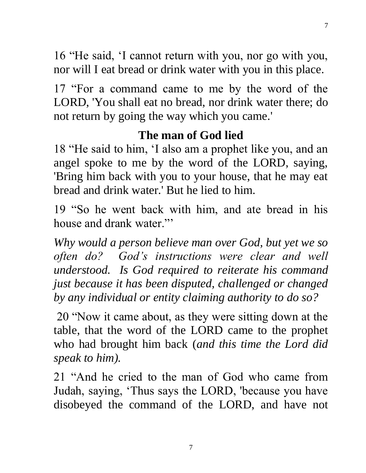16 "He said, 'I cannot return with you, nor go with you, nor will I eat bread or drink water with you in this place.

17 "For a command came to me by the word of the LORD, 'You shall eat no bread, nor drink water there; do not return by going the way which you came.'

# **The man of God lied**

18 "He said to him, 'I also am a prophet like you, and an angel spoke to me by the word of the LORD, saying, 'Bring him back with you to your house, that he may eat bread and drink water.' But he lied to him.  $\overline{a}$ 

19 "So he went back with him, and ate bread in his house and drank water."'

*Why would a person believe man over God, but yet we so often do? God's instructions were clear and well understood. Is God required to reiterate his command just because it has been disputed, challenged or changed by any individual or entity claiming authority to do so?* 

20 "Now it came about, as they were sitting down at the table, that the word of the LORD came to the prophet who had brought him back (*and this time the Lord did speak to him).*

21 "And he cried to the man of God who came from Judah, saying, 'Thus says the LORD, 'because you have disobeyed the command of the LORD, and have not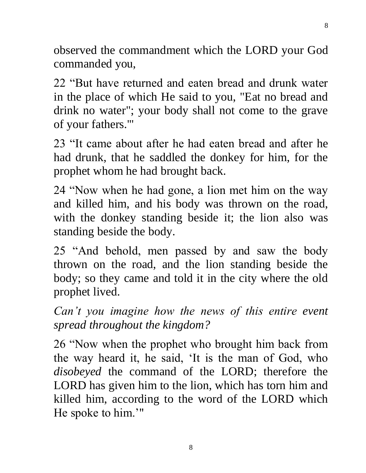observed the commandment which the LORD your God commanded you,

22 "But have returned and eaten bread and drunk water in the place of which He said to you, "Eat no bread and drink no water"; your body shall not come to the grave of your fathers.'"

23 "It came about after he had eaten bread and after he had drunk, that he saddled the donkey for him, for the prophet whom he had brought back.

24 "Now when he had gone, a lion met him on the way and killed him, and his body was thrown on the road, with the donkey standing beside it; the lion also was standing beside the body.

25 "And behold, men passed by and saw the body thrown on the road, and the lion standing beside the body; so they came and told it in the city where the old prophet lived.

*Can't you imagine how the news of this entire event spread throughout the kingdom?*

26 "Now when the prophet who brought him back from the way heard it, he said, 'It is the man of God, who *disobeyed* the command of the LORD; therefore the LORD has given him to the lion, which has torn him and killed him, according to the word of the LORD which He spoke to him.'"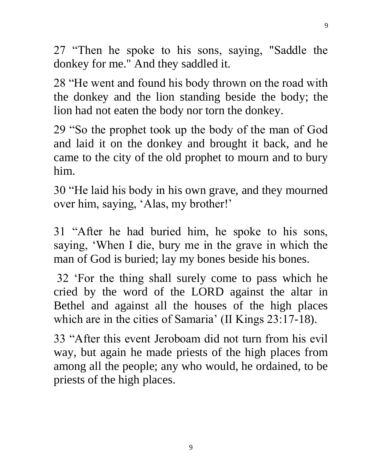27 "Then he spoke to his sons, saying, "Saddle the donkey for me." And they saddled it.

28 "He went and found his body thrown on the road with the donkey and the lion standing beside the body; the lion had not eaten the body nor torn the donkey.  $\overline{1}$ 

29 "So the prophet took up the body of the man of God and laid it on the donkey and brought it back, and he came to the city of the old prophet to mourn and to bury him.

30 "He laid his body in his own grave, and they mourned over him, saying, 'Alas, my brother!'

31 "After he had buried him, he spoke to his sons, saying, 'When I die, bury me in the grave in which the man of God is buried; lay my bones beside his bones.

32 'For the thing shall surely come to pass which he cried by the word of the LORD against the altar in Bethel and against all the houses of the high places which are in the cities of Samaria' (II Kings 23:17-18).

33 "After this event Jeroboam did not turn from his evil way, but again he made priests of the high places from among all the people; any who would, he ordained, to be priests of the high places.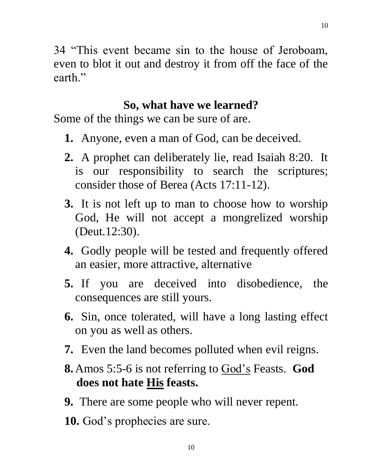34 "This event became sin to the house of Jeroboam, even to blot it out and destroy it from off the face of the earth."

#### **So, what have we learned?**

Some of the things we can be sure of are.

- **1.** Anyone, even a man of God, can be deceived.
- **2.** A prophet can deliberately lie, read Isaiah 8:20. It is our responsibility to search the scriptures; consider those of Berea (Acts 17:11-12).
- **3.** It is not left up to man to choose how to worship God, He will not accept a mongrelized worship (Deut.12:30).
- **4.** Godly people will be tested and frequently offered an easier, more attractive, alternative
- **5.** If you are deceived into disobedience, the consequences are still yours.
- **6.** Sin, once tolerated, will have a long lasting effect on you as well as others.
- **7.** Even the land becomes polluted when evil reigns.
- **8.** Amos 5:5-6 is not referring to God's Feasts. **God does not hate His feasts.**
- **9.** There are some people who will never repent.
- **10.** God's prophecies are sure.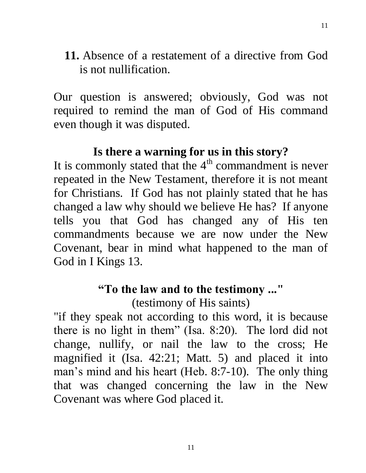**11.** Absence of a restatement of a directive from God is not nullification.

Our question is answered; obviously, God was not required to remind the man of God of His command even though it was disputed.

### **Is there a warning for us in this story?**

It is commonly stated that the  $4<sup>th</sup>$  commandment is never repeated in the New Testament, therefore it is not meant for Christians. If God has not plainly stated that he has changed a law why should we believe He has? If anyone tells you that God has changed any of His ten commandments because we are now under the New Covenant, bear in mind what happened to the man of God in I Kings 13.

# **"To the law and to the testimony ..."**

(testimony of His saints)

"if they speak not according to this word, it is because there is no light in them" (Isa. 8:20). The lord did not change, nullify, or nail the law to the cross; He magnified it (Isa. 42:21; Matt. 5) and placed it into man's mind and his heart (Heb. 8:7-10). The only thing that was changed concerning the law in the New Covenant was where God placed it.